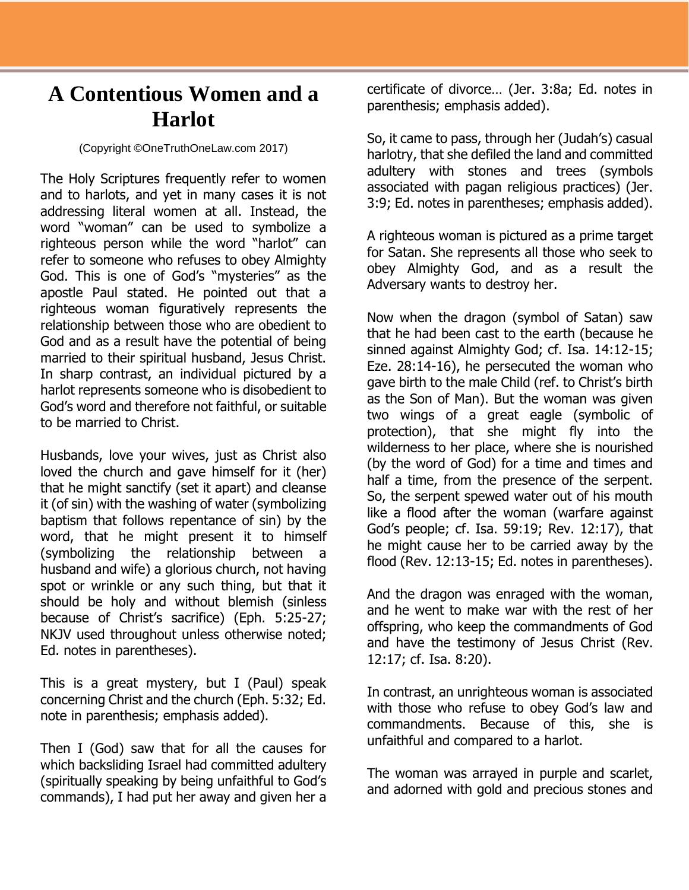## **A Contentious Women and a Harlot**

(Copyright ©OneTruthOneLaw.com 2017)

The Holy Scriptures frequently refer to women and to harlots, and yet in many cases it is not addressing literal women at all. Instead, the word "woman" can be used to symbolize a righteous person while the word "harlot" can refer to someone who refuses to obey Almighty God. This is one of God's "mysteries" as the apostle Paul stated. He pointed out that a righteous woman figuratively represents the relationship between those who are obedient to God and as a result have the potential of being married to their spiritual husband, Jesus Christ. In sharp contrast, an individual pictured by a harlot represents someone who is disobedient to God's word and therefore not faithful, or suitable to be married to Christ.

Husbands, love your wives, just as Christ also loved the church and gave himself for it (her) that he might sanctify (set it apart) and cleanse it (of sin) with the washing of water (symbolizing baptism that follows repentance of sin) by the word, that he might present it to himself (symbolizing the relationship between a husband and wife) a glorious church, not having spot or wrinkle or any such thing, but that it should be holy and without blemish (sinless because of Christ's sacrifice) (Eph. 5:25-27; NKJV used throughout unless otherwise noted; Ed. notes in parentheses).

This is a great mystery, but I (Paul) speak concerning Christ and the church (Eph. 5:32; Ed. note in parenthesis; emphasis added).

Then I (God) saw that for all the causes for which backsliding Israel had committed adultery (spiritually speaking by being unfaithful to God's commands), I had put her away and given her a

certificate of divorce… (Jer. 3:8a; Ed. notes in parenthesis; emphasis added).

So, it came to pass, through her (Judah's) casual harlotry, that she defiled the land and committed adultery with stones and trees (symbols associated with pagan religious practices) (Jer. 3:9; Ed. notes in parentheses; emphasis added).

A righteous woman is pictured as a prime target for Satan. She represents all those who seek to obey Almighty God, and as a result the Adversary wants to destroy her.

Now when the dragon (symbol of Satan) saw that he had been cast to the earth (because he sinned against Almighty God; cf. Isa. 14:12-15; Eze. 28:14-16), he persecuted the woman who gave birth to the male Child (ref. to Christ's birth as the Son of Man). But the woman was given two wings of a great eagle (symbolic of protection), that she might fly into the wilderness to her place, where she is nourished (by the word of God) for a time and times and half a time, from the presence of the serpent. So, the serpent spewed water out of his mouth like a flood after the woman (warfare against God's people; cf. Isa. 59:19; Rev. 12:17), that he might cause her to be carried away by the flood (Rev. 12:13-15; Ed. notes in parentheses).

And the dragon was enraged with the woman, and he went to make war with the rest of her offspring, who keep the commandments of God and have the testimony of Jesus Christ (Rev. 12:17; cf. Isa. 8:20).

In contrast, an unrighteous woman is associated with those who refuse to obey God's law and commandments. Because of this, she is unfaithful and compared to a harlot.

The woman was arrayed in purple and scarlet, and adorned with gold and precious stones and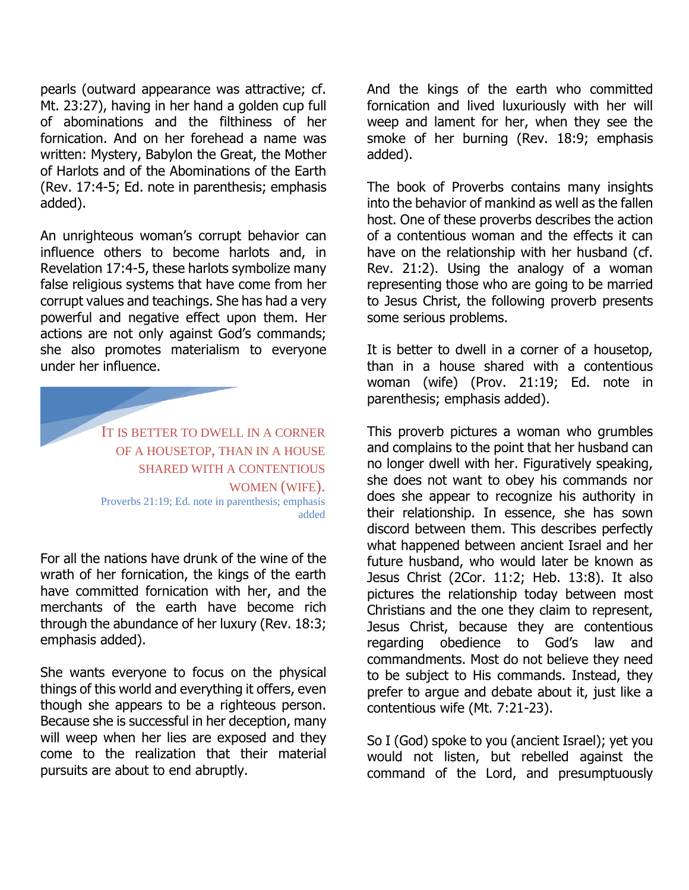pearls (outward appearance was attractive; cf. Mt. 23:27), having in her hand a golden cup full of abominations and the filthiness of her fornication. And on her forehead a name was written: Mystery, Babylon the Great, the Mother of Harlots and of the Abominations of the Earth (Rev. 17:4-5; Ed. note in parenthesis; emphasis added).

An unrighteous woman's corrupt behavior can influence others to become harlots and, in Revelation 17:4-5, these harlots symbolize many false religious systems that have come from her corrupt values and teachings. She has had a very powerful and negative effect upon them. Her actions are not only against God's commands; she also promotes materialism to everyone under her influence.

> IT IS BETTER TO DWELL IN A CORNER OF A HOUSETOP, THAN IN A HOUSE SHARED WITH A CONTENTIOUS WOMEN (WIFE). Proverbs 21:19; Ed. note in parenthesis; emphasis added

For all the nations have drunk of the wine of the wrath of her fornication, the kings of the earth have committed fornication with her, and the merchants of the earth have become rich through the abundance of her luxury (Rev. 18:3; emphasis added).

She wants everyone to focus on the physical things of this world and everything it offers, even though she appears to be a righteous person. Because she is successful in her deception, many will weep when her lies are exposed and they come to the realization that their material pursuits are about to end abruptly.

And the kings of the earth who committed fornication and lived luxuriously with her will weep and lament for her, when they see the smoke of her burning (Rev. 18:9; emphasis added).

The book of Proverbs contains many insights into the behavior of mankind as well as the fallen host. One of these proverbs describes the action of a contentious woman and the effects it can have on the relationship with her husband (cf. Rev. 21:2). Using the analogy of a woman representing those who are going to be married to Jesus Christ, the following proverb presents some serious problems.

It is better to dwell in a corner of a housetop, than in a house shared with a contentious woman (wife) (Prov. 21:19; Ed. note in parenthesis; emphasis added).

This proverb pictures a woman who grumbles and complains to the point that her husband can no longer dwell with her. Figuratively speaking, she does not want to obey his commands nor does she appear to recognize his authority in their relationship. In essence, she has sown discord between them. This describes perfectly what happened between ancient Israel and her future husband, who would later be known as Jesus Christ (2Cor. 11:2; Heb. 13:8). It also pictures the relationship today between most Christians and the one they claim to represent, Jesus Christ, because they are contentious regarding obedience to God's law and commandments. Most do not believe they need to be subject to His commands. Instead, they prefer to argue and debate about it, just like a contentious wife (Mt. 7:21-23).

So I (God) spoke to you (ancient Israel); yet you would not listen, but rebelled against the command of the Lord, and presumptuously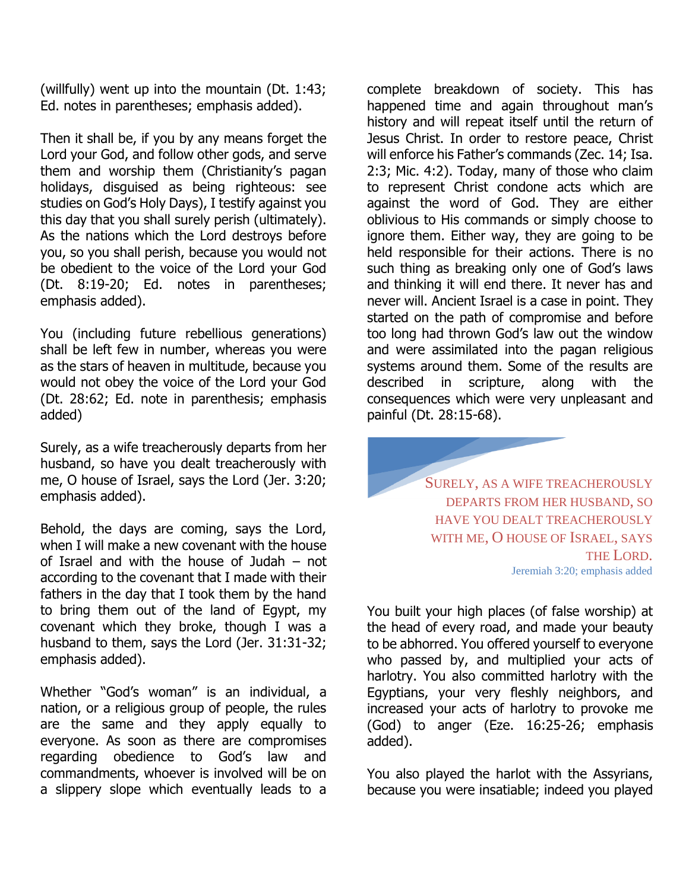(willfully) went up into the mountain (Dt. 1:43; Ed. notes in parentheses; emphasis added).

Then it shall be, if you by any means forget the Lord your God, and follow other gods, and serve them and worship them (Christianity's pagan holidays, disguised as being righteous: see studies on God's Holy Days), I testify against you this day that you shall surely perish (ultimately). As the nations which the Lord destroys before you, so you shall perish, because you would not be obedient to the voice of the Lord your God (Dt. 8:19-20; Ed. notes in parentheses; emphasis added).

You (including future rebellious generations) shall be left few in number, whereas you were as the stars of heaven in multitude, because you would not obey the voice of the Lord your God (Dt. 28:62; Ed. note in parenthesis; emphasis added)

Surely, as a wife treacherously departs from her husband, so have you dealt treacherously with me, O house of Israel, says the Lord (Jer. 3:20; emphasis added).

Behold, the days are coming, says the Lord, when I will make a new covenant with the house of Israel and with the house of Judah – not according to the covenant that I made with their fathers in the day that I took them by the hand to bring them out of the land of Egypt, my covenant which they broke, though I was a husband to them, says the Lord (Jer. 31:31-32; emphasis added).

Whether "God's woman" is an individual, a nation, or a religious group of people, the rules are the same and they apply equally to everyone. As soon as there are compromises regarding obedience to God's law and commandments, whoever is involved will be on a slippery slope which eventually leads to a

complete breakdown of society. This has happened time and again throughout man's history and will repeat itself until the return of Jesus Christ. In order to restore peace, Christ will enforce his Father's commands (Zec. 14; Isa. 2:3; Mic. 4:2). Today, many of those who claim to represent Christ condone acts which are against the word of God. They are either oblivious to His commands or simply choose to ignore them. Either way, they are going to be held responsible for their actions. There is no such thing as breaking only one of God's laws and thinking it will end there. It never has and never will. Ancient Israel is a case in point. They started on the path of compromise and before too long had thrown God's law out the window and were assimilated into the pagan religious systems around them. Some of the results are described in scripture, along with the consequences which were very unpleasant and painful (Dt. 28:15-68).

> SURELY, AS A WIFE TREACHEROUSLY DEPARTS FROM HER HUSBAND, SO HAVE YOU DEALT TREACHEROUSLY WITH ME, O HOUSE OF ISRAEL, SAYS THE LORD. Jeremiah 3:20; emphasis added

You built your high places (of false worship) at the head of every road, and made your beauty to be abhorred. You offered yourself to everyone who passed by, and multiplied your acts of harlotry. You also committed harlotry with the Egyptians, your very fleshly neighbors, and increased your acts of harlotry to provoke me (God) to anger (Eze. 16:25-26; emphasis added).

You also played the harlot with the Assyrians, because you were insatiable; indeed you played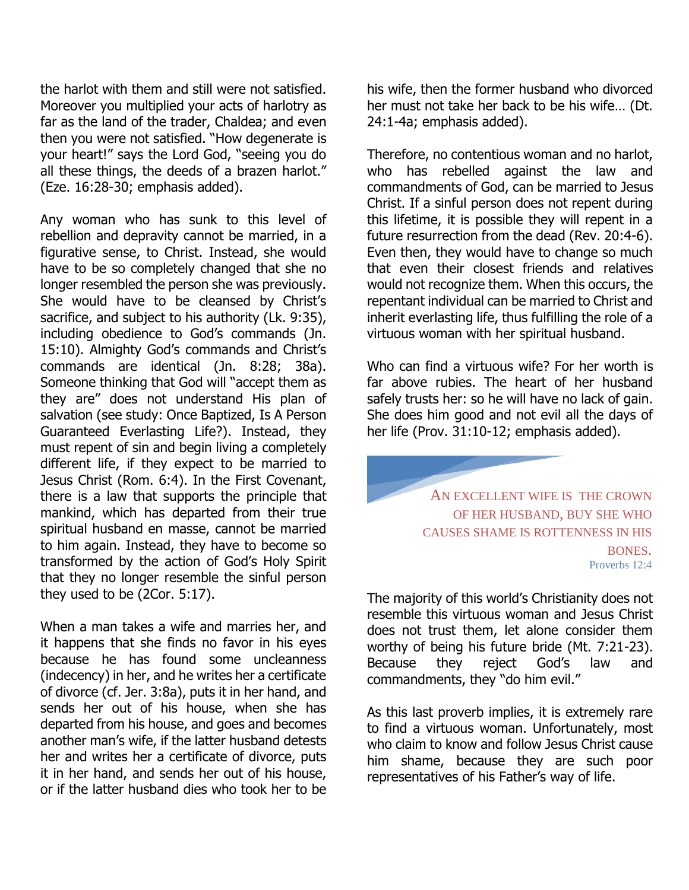the harlot with them and still were not satisfied. Moreover you multiplied your acts of harlotry as far as the land of the trader, Chaldea; and even then you were not satisfied. "How degenerate is your heart!" says the Lord God, "seeing you do all these things, the deeds of a brazen harlot." (Eze. 16:28-30; emphasis added).

Any woman who has sunk to this level of rebellion and depravity cannot be married, in a figurative sense, to Christ. Instead, she would have to be so completely changed that she no longer resembled the person she was previously. She would have to be cleansed by Christ's sacrifice, and subject to his authority (Lk. 9:35), including obedience to God's commands (Jn. 15:10). Almighty God's commands and Christ's commands are identical (Jn. 8:28; 38a). Someone thinking that God will "accept them as they are" does not understand His plan of salvation (see study: Once Baptized, Is A Person Guaranteed Everlasting Life?). Instead, they must repent of sin and begin living a completely different life, if they expect to be married to Jesus Christ (Rom. 6:4). In the First Covenant, there is a law that supports the principle that mankind, which has departed from their true spiritual husband en masse, cannot be married to him again. Instead, they have to become so transformed by the action of God's Holy Spirit that they no longer resemble the sinful person they used to be (2Cor. 5:17).

When a man takes a wife and marries her, and it happens that she finds no favor in his eyes because he has found some uncleanness (indecency) in her, and he writes her a certificate of divorce (cf. Jer. 3:8a), puts it in her hand, and sends her out of his house, when she has departed from his house, and goes and becomes another man's wife, if the latter husband detests her and writes her a certificate of divorce, puts it in her hand, and sends her out of his house, or if the latter husband dies who took her to be

his wife, then the former husband who divorced her must not take her back to be his wife… (Dt. 24:1-4a; emphasis added).

Therefore, no contentious woman and no harlot, who has rebelled against the law and commandments of God, can be married to Jesus Christ. If a sinful person does not repent during this lifetime, it is possible they will repent in a future resurrection from the dead (Rev. 20:4-6). Even then, they would have to change so much that even their closest friends and relatives would not recognize them. When this occurs, the repentant individual can be married to Christ and inherit everlasting life, thus fulfilling the role of a virtuous woman with her spiritual husband.

Who can find a virtuous wife? For her worth is far above rubies. The heart of her husband safely trusts her: so he will have no lack of gain. She does him good and not evil all the days of her life (Prov. 31:10-12; emphasis added).

> AN EXCELLENT WIFE IS THE CROWN OF HER HUSBAND, BUY SHE WHO CAUSES SHAME IS ROTTENNESS IN HIS BONES. Proverbs 12:4

The majority of this world's Christianity does not resemble this virtuous woman and Jesus Christ does not trust them, let alone consider them worthy of being his future bride (Mt. 7:21-23). Because they reject God's law and commandments, they "do him evil."

As this last proverb implies, it is extremely rare to find a virtuous woman. Unfortunately, most who claim to know and follow Jesus Christ cause him shame, because they are such poor representatives of his Father's way of life.